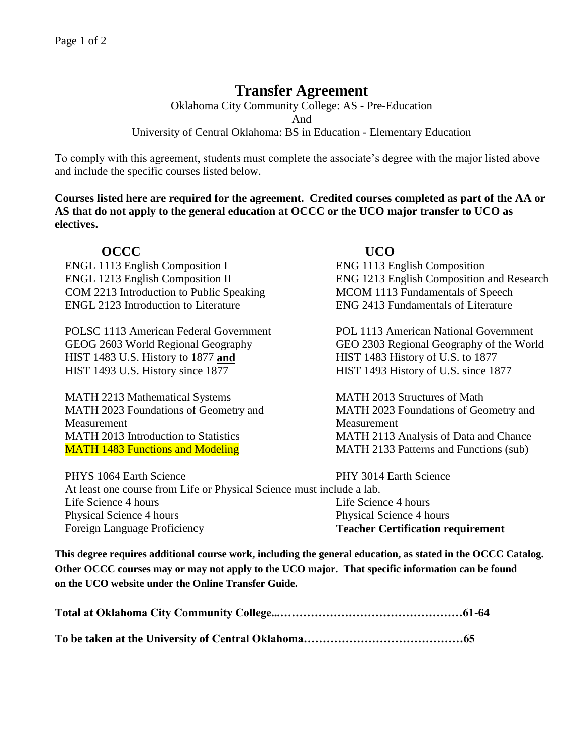# **Transfer Agreement**

Oklahoma City Community College: AS - Pre-Education And University of Central Oklahoma: BS in Education - Elementary Education

To comply with this agreement, students must complete the associate's degree with the major listed above and include the specific courses listed below.

**Courses listed here are required for the agreement. Credited courses completed as part of the AA or AS that do not apply to the general education at OCCC or the UCO major transfer to UCO as electives.**

## **OCCC UCO**

ENGL 1113 English Composition I ENG 1113 English Composition COM 2213 Introduction to Public Speaking MCOM 1113 Fundamentals of Speech ENGL 2123 Introduction to Literature ENG 2413 Fundamentals of Literature

POLSC 1113 American Federal Government POL 1113 American National Government HIST 1483 U.S. History to 1877 **and** HIST 1483 History of U.S. to 1877 HIST 1493 U.S. History since 1877 HIST 1493 History of U.S. since 1877

MATH 2213 Mathematical Systems MATH 2013 Structures of Math MATH 2023 Foundations of Geometry and Measurement MATH 2013 Introduction to Statistics MATH 2113 Analysis of Data and Chance MATH 1483 Functions and Modeling MATH 2133 Patterns and Functions (sub)

ENGL 1213 English Composition II ENG 1213 English Composition and Research

GEOG 2603 World Regional Geography GEO 2303 Regional Geography of the World

MATH 2023 Foundations of Geometry and Measurement

PHYS 1064 Earth Science PHY 3014 Earth Science At least one course from Life or Physical Science must include a lab. Life Science 4 hours Life Science 4 hours Life Science 4 hours Physical Science 4 hours Physical Science 4 hours Physical Science 4 hours Foreign Language Proficiency **Teacher Certification requirement**

**This degree requires additional course work, including the general education, as stated in the OCCC Catalog. Other OCCC courses may or may not apply to the UCO major. That specific information can be found on the UCO website under the Online Transfer Guide.**